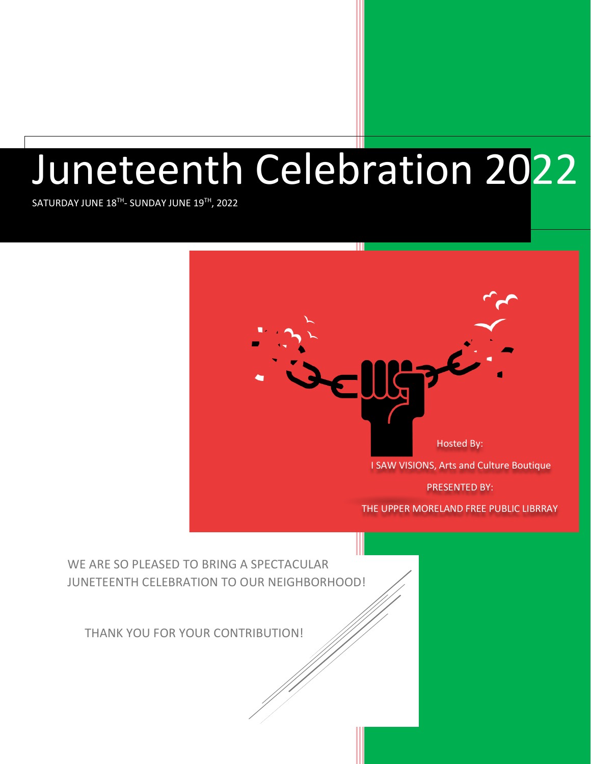# Juneteenth Celebration 2022

 $\mathsf{SATURDAY}$  JUNE  $18^{\mathsf{TH}}$ -  $\mathsf{SUNDAY}$  JUNE  $19^{\mathsf{TH}}$ , 2022

WE ARE SO PLEASED TO BRING A SPECTACULAR JUNETEENTH CELEBRATION TO OUR NEIGHBORHOOD! THANK YOU FOR YOUR CONTRIBUTION! Hosted By: I SAW VISIONS, Arts and Culture Boutique PRESENTED BY: THE UPPER MORELAND FREE PUBLIC LIBRRAY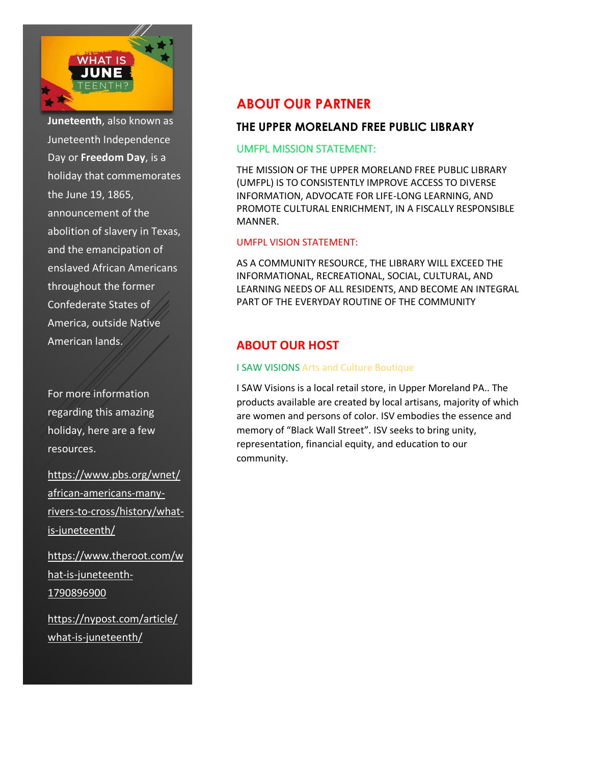

**Juneteenth**, also known as Juneteenth Independence Day or **Freedom Day**, is a holiday that commemorates the June 19, 1865, announcement of the abolition of slavery in Texas, and the emancipation of enslaved African Americans throughout the former Confederate States of America, outside Native American lands.

For more information regarding this amazing holiday, here are a few resources.

[https://www.pbs.org/wnet/](https://www.pbs.org/wnet/african-americans-many-rivers-to-cross/history/what-is-juneteenth/) [african-americans-many](https://www.pbs.org/wnet/african-americans-many-rivers-to-cross/history/what-is-juneteenth/)[rivers-to-cross/history/what](https://www.pbs.org/wnet/african-americans-many-rivers-to-cross/history/what-is-juneteenth/)[is-juneteenth/](https://www.pbs.org/wnet/african-americans-many-rivers-to-cross/history/what-is-juneteenth/)

[https://www.theroot.com/w](https://www.theroot.com/what-is-juneteenth-1790896900) [hat-is-juneteenth-](https://www.theroot.com/what-is-juneteenth-1790896900)[1790896900](https://www.theroot.com/what-is-juneteenth-1790896900)

[https://nypost.com/article/](https://nypost.com/article/what-is-juneteenth/) [what-is-juneteenth/](https://nypost.com/article/what-is-juneteenth/)

## **ABOUT OUR PARTNER**

## **THE UPPER MORELAND FREE PUBLIC LIBRARY**

#### UMFPL MISSION STATEMENT:

THE MISSION OF THE UPPER MORELAND FREE PUBLIC LIBRARY (UMFPL) IS TO CONSISTENTLY IMPROVE ACCESS TO DIVERSE INFORMATION, ADVOCATE FOR LIFE-LONG LEARNING, AND PROMOTE CULTURAL ENRICHMENT, IN A FISCALLY RESPONSIBLE MANNER.

#### UMFPL VISION STATEMENT:

AS A COMMUNITY RESOURCE, THE LIBRARY WILL EXCEED THE INFORMATIONAL, RECREATIONAL, SOCIAL, CULTURAL, AND LEARNING NEEDS OF ALL RESIDENTS, AND BECOME AN INTEGRAL PART OF THE EVERYDAY ROUTINE OF THE COMMUNITY.

## **ABOUT OUR HOST**

#### I SAW VISIONS Arts and Culture Boutique

I SAW Visions is a local retail store, in Upper Moreland PA.. The products available are created by local artisans, majority of which are women and persons of color. ISV embodies the essence and memory of "Black Wall Street". ISV seeks to bring unity, representation, financial equity, and education to our community.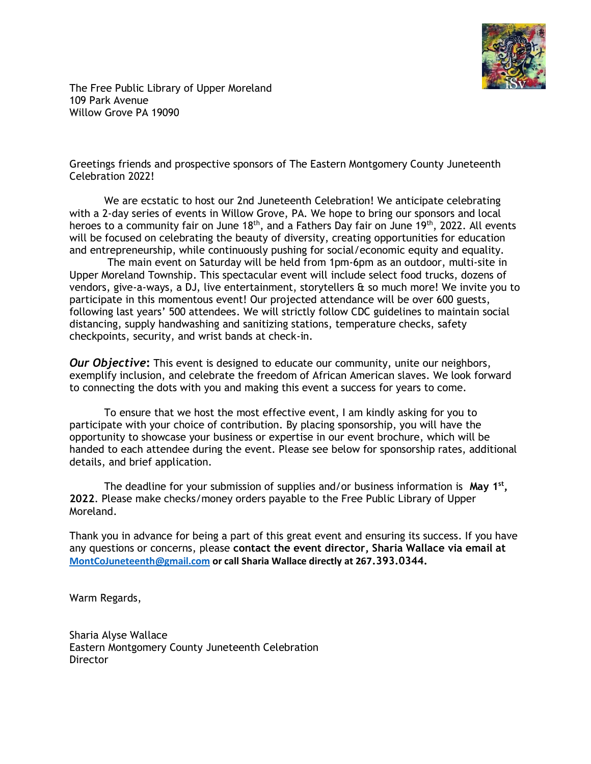

The Free Public Library of Upper Moreland 109 Park Avenue Willow Grove PA 19090

Greetings friends and prospective sponsors of The Eastern Montgomery County Juneteenth Celebration 2022!

We are ecstatic to host our 2nd Juneteenth Celebration! We anticipate celebrating with a 2-day series of events in Willow Grove, PA. We hope to bring our sponsors and local heroes to a community fair on June  $18<sup>th</sup>$ , and a Fathers Day fair on June  $19<sup>th</sup>$ , 2022. All events will be focused on celebrating the beauty of diversity, creating opportunities for education and entrepreneurship, while continuously pushing for social/economic equity and equality.

The main event on Saturday will be held from 1pm-6pm as an outdoor, multi-site in Upper Moreland Township. This spectacular event will include select food trucks, dozens of vendors, give-a-ways, a DJ, live entertainment, storytellers & so much more! We invite you to participate in this momentous event! Our projected attendance will be over 600 guests, following last years' 500 attendees. We will strictly follow CDC guidelines to maintain social distancing, supply handwashing and sanitizing stations, temperature checks, safety checkpoints, security, and wrist bands at check-in.

*Our Objective***:** This event is designed to educate our community, unite our neighbors, exemplify inclusion, and celebrate the freedom of African American slaves. We look forward to connecting the dots with you and making this event a success for years to come.

To ensure that we host the most effective event, I am kindly asking for you to participate with your choice of contribution. By placing sponsorship, you will have the opportunity to showcase your business or expertise in our event brochure, which will be handed to each attendee during the event. Please see below for sponsorship rates, additional details, and brief application.

The deadline for your submission of supplies and/or business information is **May 1st , 2022**. Please make checks/money orders payable to the Free Public Library of Upper Moreland.

Thank you in advance for being a part of this great event and ensuring its success. If you have any questions or concerns, please **contact the event director, Sharia Wallace via email at [MontCoJuneteenth@gmail.com](mailto:MontCoJuneteenth@gmail.com) or call Sharia Wallace directly at 267.393.0344.**

Warm Regards,

Sharia Alyse Wallace Eastern Montgomery County Juneteenth Celebration **Director**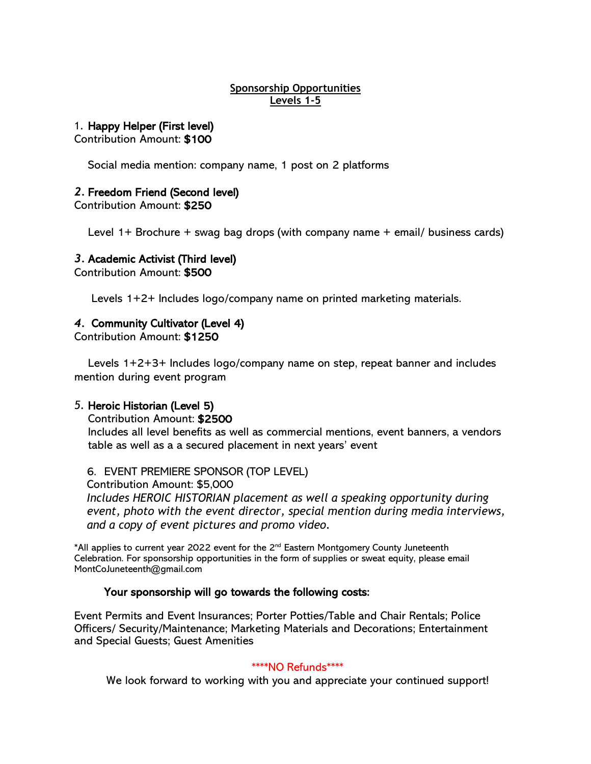#### **Sponsorship Opportunities Levels 1-5**

#### 1. Happy Helper (First level)

Contribution Amount: \$100

Social media mention: company name, 1 post on 2 platforms

#### *2.* Freedom Friend (Second level)

Contribution Amount: \$250

Level 1+ Brochure + swag bag drops (with company name + email/ business cards)

#### *3.* Academic Activist (Third level)

Contribution Amount: \$500

Levels 1+2+ Includes logo/company name on printed marketing materials.

## *4.* Community Cultivator (Level 4)

Contribution Amount: \$1250

Levels 1+2+3+ Includes logo/company name on step, repeat banner and includes mention during event program

#### *5.* Heroic Historian (Level 5)

Contribution Amount: \$2500

Includes all level benefits as well as commercial mentions, event banners, a vendors table as well as a a secured placement in next years' event

6. EVENT PREMIERE SPONSOR (TOP LEVEL)

Contribution Amount: \$5,000 *Includes HEROIC HISTORIAN placement as well a speaking opportunity during event, photo with the event director, special mention during media interviews, and a copy of event pictures and promo video.*

\*All applies to current year 2022 event for the  $2^{nd}$  Eastern Montgomery County Juneteenth Celebration. For sponsorship opportunities in the form of supplies or sweat equity, please email MontCoJuneteenth@gmail.com

#### Your sponsorship will go towards the following costs:

Event Permits and Event Insurances; Porter Potties/Table and Chair Rentals; Police Officers/ Security/Maintenance; Marketing Materials and Decorations; Entertainment and Special Guests; Guest Amenities

#### \*\*\*\*NO Refunds\*\*\*\*

We look forward to working with you and appreciate your continued support!